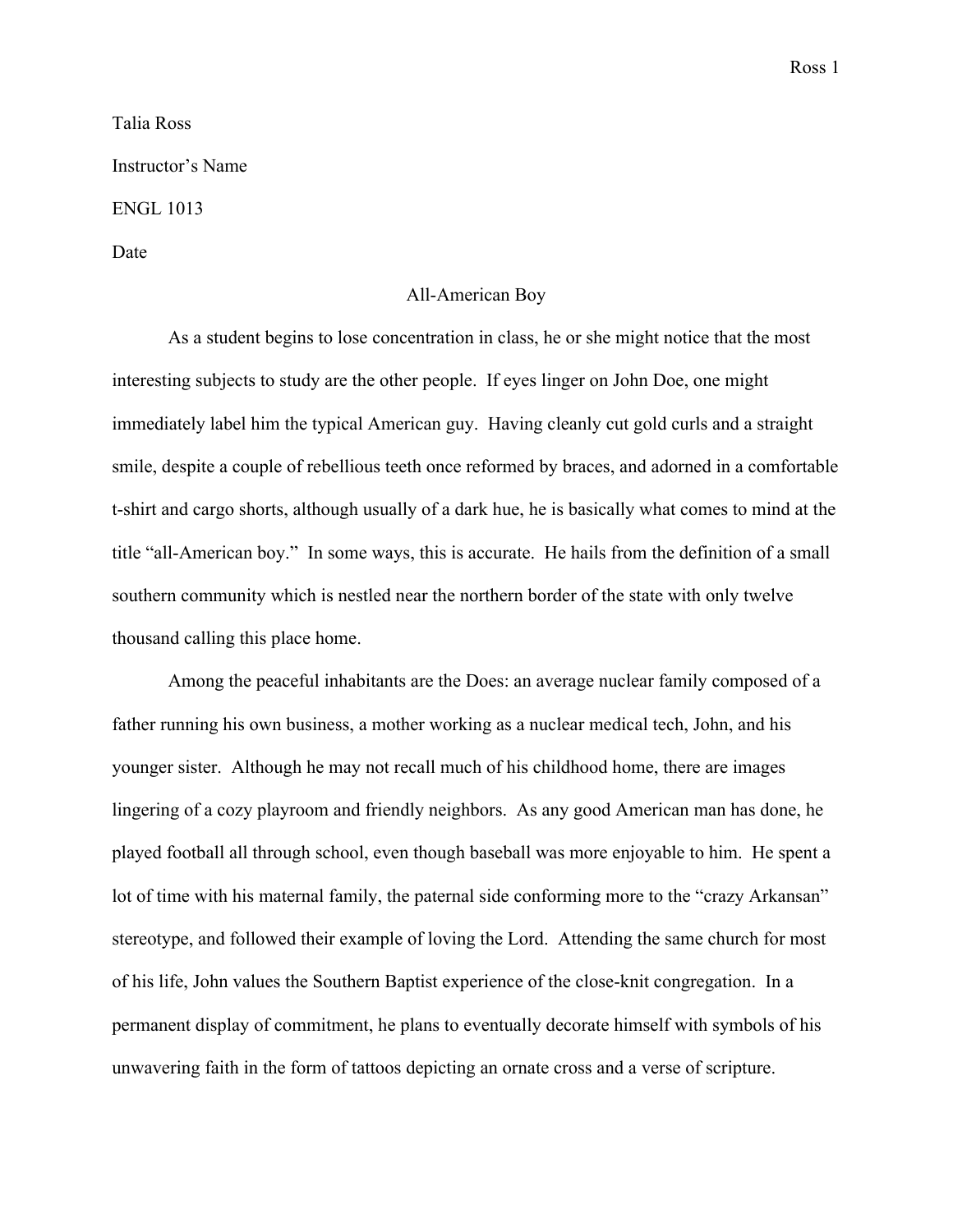Ross 1

Talia Ross Instructor's Name ENGL 1013 Date

## All-American Boy

As a student begins to lose concentration in class, he or she might notice that the most interesting subjects to study are the other people. If eyes linger on John Doe, one might immediately label him the typical American guy. Having cleanly cut gold curls and a straight smile, despite a couple of rebellious teeth once reformed by braces, and adorned in a comfortable t-shirt and cargo shorts, although usually of a dark hue, he is basically what comes to mind at the title "all-American boy." In some ways, this is accurate. He hails from the definition of a small southern community which is nestled near the northern border of the state with only twelve thousand calling this place home.

Among the peaceful inhabitants are the Does: an average nuclear family composed of a father running his own business, a mother working as a nuclear medical tech, John, and his younger sister. Although he may not recall much of his childhood home, there are images lingering of a cozy playroom and friendly neighbors. As any good American man has done, he played football all through school, even though baseball was more enjoyable to him. He spent a lot of time with his maternal family, the paternal side conforming more to the "crazy Arkansan" stereotype, and followed their example of loving the Lord. Attending the same church for most of his life, John values the Southern Baptist experience of the close-knit congregation. In a permanent display of commitment, he plans to eventually decorate himself with symbols of his unwavering faith in the form of tattoos depicting an ornate cross and a verse of scripture.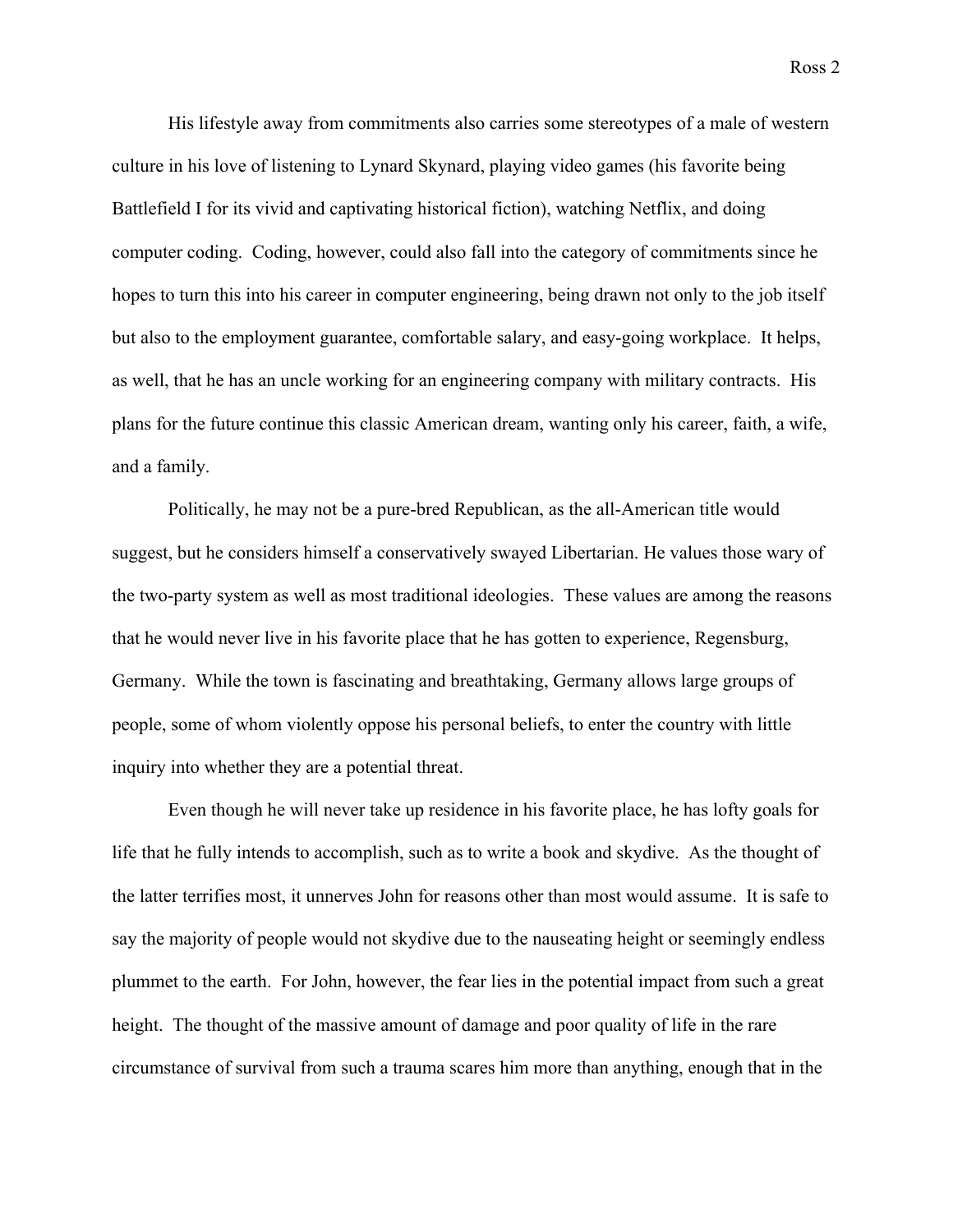His lifestyle away from commitments also carries some stereotypes of a male of western culture in his love of listening to Lynard Skynard, playing video games (his favorite being Battlefield I for its vivid and captivating historical fiction), watching Netflix, and doing computer coding. Coding, however, could also fall into the category of commitments since he hopes to turn this into his career in computer engineering, being drawn not only to the job itself but also to the employment guarantee, comfortable salary, and easy-going workplace. It helps, as well, that he has an uncle working for an engineering company with military contracts. His plans for the future continue this classic American dream, wanting only his career, faith, a wife, and a family.

Politically, he may not be a pure-bred Republican, as the all-American title would suggest, but he considers himself a conservatively swayed Libertarian. He values those wary of the two-party system as well as most traditional ideologies. These values are among the reasons that he would never live in his favorite place that he has gotten to experience, Regensburg, Germany. While the town is fascinating and breathtaking, Germany allows large groups of people, some of whom violently oppose his personal beliefs, to enter the country with little inquiry into whether they are a potential threat.

Even though he will never take up residence in his favorite place, he has lofty goals for life that he fully intends to accomplish, such as to write a book and skydive. As the thought of the latter terrifies most, it unnerves John for reasons other than most would assume. It is safe to say the majority of people would not skydive due to the nauseating height or seemingly endless plummet to the earth. For John, however, the fear lies in the potential impact from such a great height. The thought of the massive amount of damage and poor quality of life in the rare circumstance of survival from such a trauma scares him more than anything, enough that in the